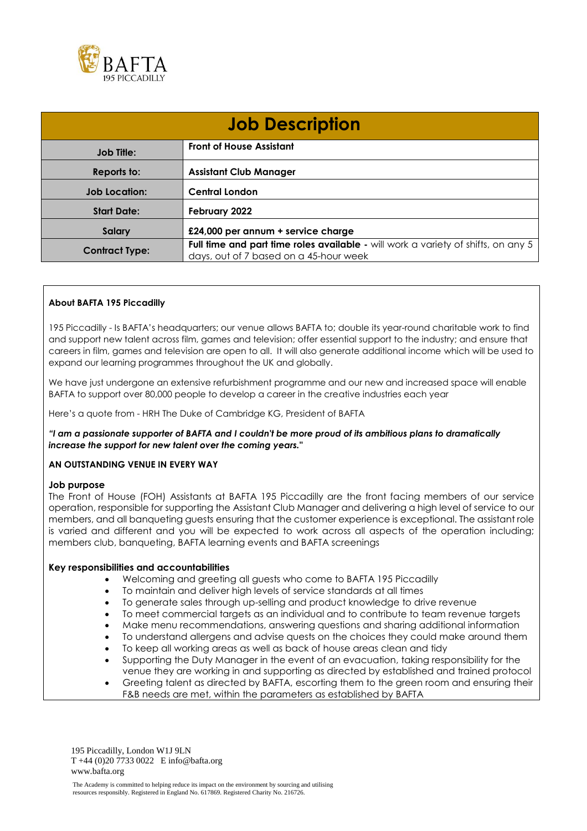

| <b>Job Description</b> |                                                                                                                             |
|------------------------|-----------------------------------------------------------------------------------------------------------------------------|
| <b>Job Title:</b>      | <b>Front of House Assistant</b>                                                                                             |
| Reports to:            | <b>Assistant Club Manager</b>                                                                                               |
| <b>Job Location:</b>   | <b>Central London</b>                                                                                                       |
| <b>Start Date:</b>     | February 2022                                                                                                               |
| Salary                 | £24,000 per annum + service charge                                                                                          |
| <b>Contract Type:</b>  | Full time and part time roles available - will work a variety of shifts, on any 5<br>days, out of 7 based on a 45-hour week |

## **About BAFTA 195 Piccadilly**

195 Piccadilly - Is BAFTA's headquarters; our venue allows BAFTA to; double its year-round charitable work to find and support new talent across film, games and television; offer essential support to the industry; and ensure that careers in film, games and television are open to all. It will also generate additional income which will be used to expand our learning programmes throughout the UK and globally.

We have just undergone an extensive refurbishment programme and our new and increased space will enable BAFTA to support over 80,000 people to develop a career in the creative industries each year

Here's a quote from - HRH The Duke of Cambridge KG, President of BAFTA

*"I am a passionate supporter of BAFTA and I couldn't be more proud of its ambitious plans to dramatically increase the support for new talent over the coming years."* 

### **AN OUTSTANDING VENUE IN EVERY WAY**

#### **Job purpose**

The Front of House (FOH) Assistants at BAFTA 195 Piccadilly are the front facing members of our service operation, responsible for supporting the Assistant Club Manager and delivering a high level of service to our members, and all banqueting guests ensuring that the customer experience is exceptional. The assistant role is varied and different and you will be expected to work across all aspects of the operation including; members club, banqueting, BAFTA learning events and BAFTA screenings

#### **Key responsibilities and accountabilities**

- Welcoming and greeting all guests who come to BAFTA 195 Piccadilly
- To maintain and deliver high levels of service standards at all times
- To generate sales through up-selling and product knowledge to drive revenue
- To meet commercial targets as an individual and to contribute to team revenue targets
- Make menu recommendations, answering questions and sharing additional information
- To understand allergens and advise quests on the choices they could make around them
- To keep all working areas as well as back of house areas clean and tidy
- Supporting the Duty Manager in the event of an evacuation, taking responsibility for the venue they are working in and supporting as directed by established and trained protocol
- Greeting talent as directed by BAFTA, escorting them to the green room and ensuring their F&B needs are met, within the parameters as established by BAFTA

195 Piccadilly, London W1J 9LN T +44 (0)20 7733 0022 E info@bafta.org www.bafta.org

The Academy is committed to helping reduce its impact on the environment by sourcing and utilising resources responsibly. Registered in England No. 617869. Registered Charity No. 216726.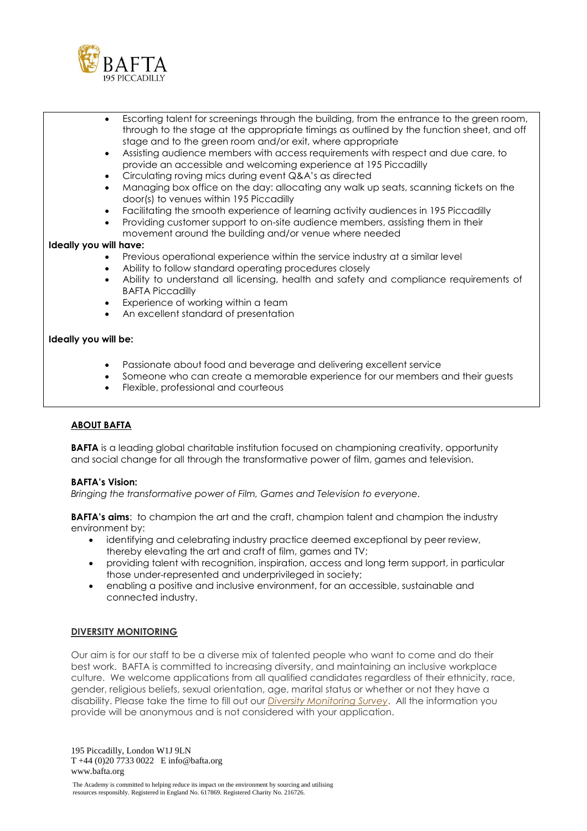

- Escorting talent for screenings through the building, from the entrance to the green room, through to the stage at the appropriate timings as outlined by the function sheet, and off stage and to the green room and/or exit, where appropriate
- Assisting audience members with access requirements with respect and due care, to provide an accessible and welcoming experience at 195 Piccadilly
- Circulating roving mics during event Q&A's as directed
- Managing box office on the day: allocating any walk up seats, scanning tickets on the door(s) to venues within 195 Piccadilly
- Facilitating the smooth experience of learning activity audiences in 195 Piccadilly
- Providing customer support to on-site audience members, assisting them in their movement around the building and/or venue where needed

### **Ideally you will have:**

- Previous operational experience within the service industry at a similar level
- Ability to follow standard operating procedures closely
- Ability to understand all licensing, health and safety and compliance requirements of BAFTA Piccadilly
- Experience of working within a team
- An excellent standard of presentation

#### **Ideally you will be:**

- Passionate about food and beverage and delivering excellent service
- Someone who can create a memorable experience for our members and their guests
- Flexible, professional and courteous

## **ABOUT BAFTA**

**BAFTA** is a leading global charitable institution focused on championing creativity, opportunity and social change for all through the transformative power of film, games and television.

#### **BAFTA's Vision:**

*Bringing the transformative power of Film, Games and Television to everyone.*

**BAFTA's aims:** to champion the art and the craft, champion talent and champion the industry environment by:

- identifying and celebrating industry practice deemed exceptional by peer review, thereby elevating the art and craft of film, games and TV;
- providing talent with recognition, inspiration, access and long term support, in particular those under-represented and underprivileged in society;
- enabling a positive and inclusive environment, for an accessible, sustainable and connected industry.

#### **DIVERSITY MONITORING**

Our aim is for our staff to be a diverse mix of talented people who want to come and do their best work. BAFTA is committed to increasing diversity, and maintaining an inclusive workplace culture. We welcome applications from all qualified candidates regardless of their ethnicity, race, gender, religious beliefs, sexual orientation, age, marital status or whether or not they have a disability. Please take the time to fill out our *[Diversity Monitoring Survey](https://www.bafta.org/jobs/employment-policy/recruitment-monitoring-form)*. All the information you provide will be anonymous and is not considered with your application.

195 Piccadilly, London W1J 9LN T +44 (0)20 7733 0022 E info@bafta.org www.bafta.org

The Academy is committed to helping reduce its impact on the environment by sourcing and utilising resources responsibly. Registered in England No. 617869. Registered Charity No. 216726.